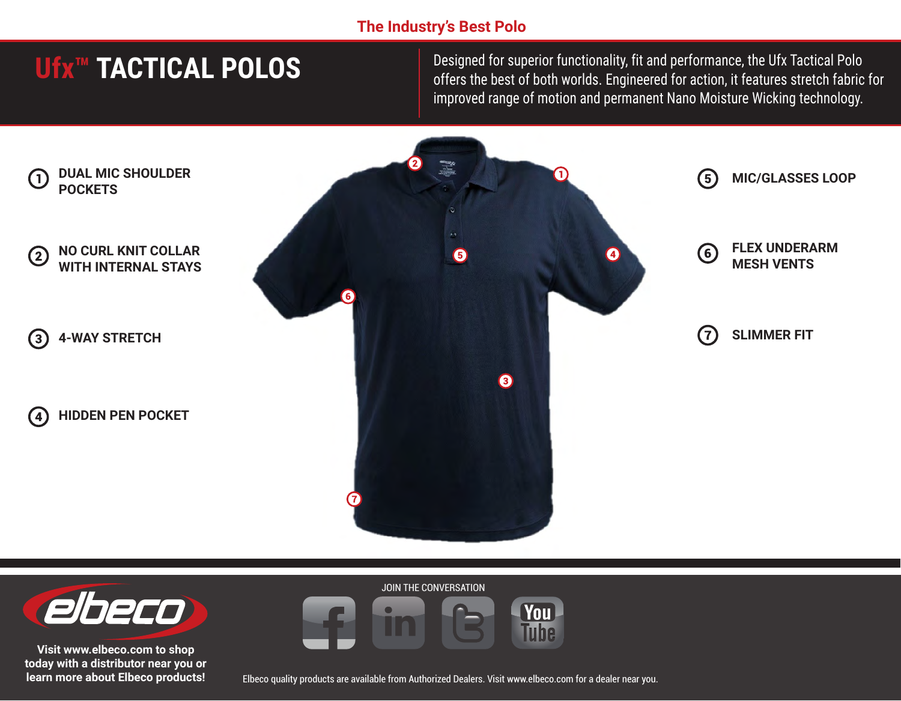## **The Industry's Best Polo**

# **Ufx™ TACTICAL POLOS**

Designed for superior functionality, fit and performance, the Ufx Tactical Polo offers the best of both worlds. Engineered for action, it features stretch fabric for improved range of motion and permanent Nano Moisture Wicking technology.





**Visit www.elbeco.com to shop today with a distributor near you or learn more about Elbeco products!**

Elbeco quality products are available from Authorized Dealers. Visit www.elbeco.com for a dealer near you.

**You** Tuhe

JOIN THE CONVERSATION